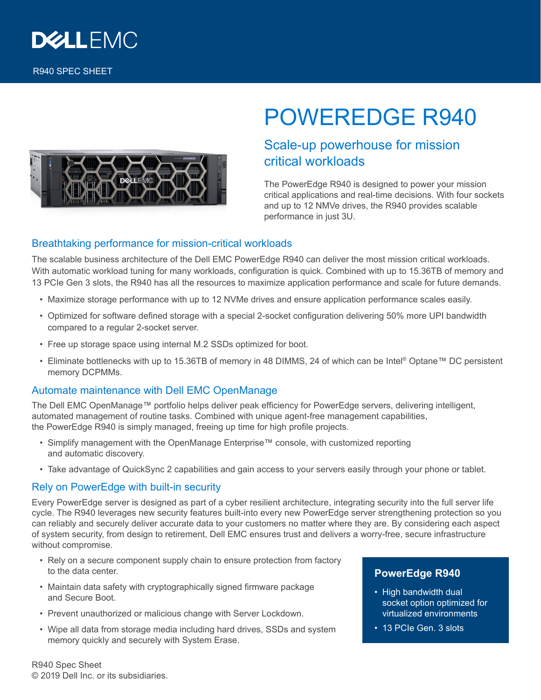

# POWEREDGE R940

# Scale-up powerhouse for mission critical workloads

The PowerEdge R940 is designed to power your mission critical applications and real-time decisions. With four sockets and up to 12 NMVe drives, the R940 provides scalable performance in just 3U.

## Breathtaking performance for mission-critical workloads

The scalable business architecture of the Dell EMC PowerEdge R940 can deliver the most mission critical workloads. With automatic workload tuning for many workloads, configuration is quick. Combined with up to 15.36TB of memory and 13 PCIe Gen 3 slots, the R940 has all the resources to maximize application performance and scale for future demands.

- Maximize storage performance with up to 12 NVMe drives and ensure application performance scales easily.
- Optimized for software defined storage with a special 2-socket configuration delivering 50% more UPI bandwidth compared to a regular 2-socket server.
- Free up storage space using internal M.2 SSDs optimized for boot.
- Eliminate bottlenecks with up to 15.36TB of memory in 48 DIMMS, 24 of which can be Intel® Optane™ DC persistent memory DCPMMs.

## Automate maintenance with Dell EMC OpenManage

The Dell EMC OpenManage™ portfolio helps deliver peak efficiency for PowerEdge servers, delivering intelligent, automated management of routine tasks. Combined with unique agent-free management capabilities, the PowerEdge R940 is simply managed, freeing up time for high profile projects.

- Simplify management with the OpenManage Enterprise™ console, with customized reporting and automatic discovery.
- Take advantage of QuickSync 2 capabilities and gain access to your servers easily through your phone or tablet.

#### Rely on PowerEdge with built-in security

Every PowerEdge server is designed as part of a cyber resilient architecture, integrating security into the full server life cycle. The R940 leverages new security features built-into every new PowerEdge server strengthening protection so you can reliably and securely deliver accurate data to your customers no matter where they are. By considering each aspect of system security, from design to retirement, Dell EMC ensures trust and delivers a worry-free, secure infrastructure without compromise.

- Rely on a secure component supply chain to ensure protection from factory to the data center.
- Maintain data safety with cryptographically signed firmware package and Secure Boot.
- Prevent unauthorized or malicious change with Server Lockdown.
- Wipe all data from storage media including hard drives, SSDs and system memory quickly and securely with System Erase.

## **PowerEdge R940**

- High bandwidth dual socket option optimized for virtualized environments
- 13 PCIe Gen. 3 slots

R940 Spec Sheet © 2019 Dell Inc. or its subsidiaries.